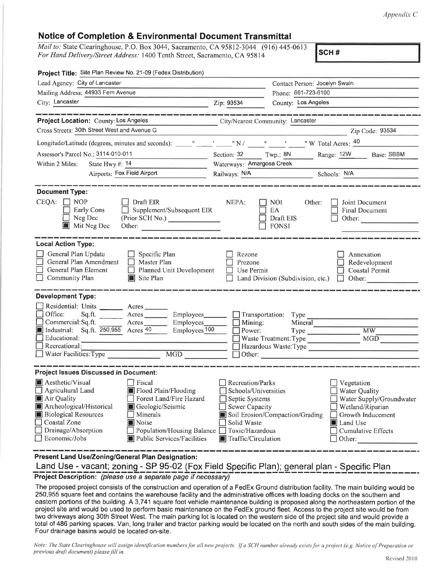Appendix C

## Notice of Completion & Environmental Document Transmittal

Mail to: State Clearinghouse, P.O. Box 3044, Sacramento, CA 95812-3044 (916) 445-0613 For Hand Delivery/Street Address: 1400 Tenth Street, Sacramento, CA 95814

scH #

| Project Title: Site Plan Review No. 21-09 (Fedex Distribution)                                                                                                                                                            |                                                                                                                                          |  |
|---------------------------------------------------------------------------------------------------------------------------------------------------------------------------------------------------------------------------|------------------------------------------------------------------------------------------------------------------------------------------|--|
| Lead Agency: City of Lancaster                                                                                                                                                                                            | Contact Person: Jocelyn Swain                                                                                                            |  |
| Mailing Address: 44933 Fern Avenue                                                                                                                                                                                        | Phone: 661-723-6100                                                                                                                      |  |
| City: Lancaster<br>the control of the control of the control of the control of the control of                                                                                                                             | Zip: 93534<br>County: Los Angeles                                                                                                        |  |
| ------------------------                                                                                                                                                                                                  |                                                                                                                                          |  |
| Project Location: County: Los Angeles                                                                                                                                                                                     | City/Nearest Community: Lancaster                                                                                                        |  |
| Cross Streets: 30th Street West and Avenue G                                                                                                                                                                              | Zip Code: 93534<br><u> 1950 - John Harry Harry Harry Harry Harry Harry Harry Harry Harry Harry Harry Harry Harry Harry Harry Harry H</u> |  |
|                                                                                                                                                                                                                           |                                                                                                                                          |  |
| Assessor's Parcel No.: 3114-010-011<br><u> Alexandria de Alexandria de Alexandria de Alexandria de Alexandria de Alexandria de Alexandria de Alexandria </u>                                                              | Section: 32 Twp.: 8N<br>Range: 12W Base: SBBM                                                                                            |  |
| Within 2 Miles:<br>State Hwy #: $14$<br>and the state of the con-                                                                                                                                                         | Waterways: Amargosa Creek                                                                                                                |  |
| Airports: Fox Field Airport                                                                                                                                                                                               | Railways: N/A<br>Schools: N/A<br>Schools: N/A                                                                                            |  |
|                                                                                                                                                                                                                           |                                                                                                                                          |  |
| <b>Document Type:</b><br>$CEQA: \Box NOP$<br>$\Box$ Draft EIR<br><b>Early Cons</b><br>Supplement/Subsequent EIR<br>$\Box$<br>Neg Dec<br>(Prior SCH No.)<br>$\mathsf{I}$<br>Mit Neg Dec<br>E<br>Other:                     | NEPA:<br><b>NOI</b><br>Other:<br>Joint Document<br>EA<br><b>Final Document</b><br>Draft EIS<br>Other:<br><b>FONSI</b>                    |  |
| <b>Local Action Type:</b><br>General Plan Update<br>$\Box$ Specific Plan<br>General Plan Amendment<br>$\Box$ Master Plan<br>General Plan Element<br>$\Box$ Planned Unit Development<br>$\Box$ Community Plan<br>Site Plan | Rezone<br>Annexation<br>Prezone<br>Redevelopment<br>Use Permit<br>Coastal Permit<br>Land Division (Subdivision, etc.)<br>Other:<br>IJ    |  |
| <b>Development Type:</b>                                                                                                                                                                                                  |                                                                                                                                          |  |
| Residential: Units ________ Acres ______                                                                                                                                                                                  |                                                                                                                                          |  |
| Office:<br>Acres Employees<br>Sq.ft.                                                                                                                                                                                      |                                                                                                                                          |  |
| Commercial: Sq.ft.<br>Acres Employees                                                                                                                                                                                     | $\Box$ Mining:<br>Mineral                                                                                                                |  |
| Employees <sup>100</sup><br>Industrial: Sq.ft. $250,955$ Acres 40                                                                                                                                                         | <b>MW</b><br>$\Box$ Power:<br>Type <u>and the second second</u>                                                                          |  |
| Educational:<br>Recreational:                                                                                                                                                                                             | MGD<br>Waste Treatment: Type<br>Hazardous Waste:Type                                                                                     |  |
| MGD<br>Water Facilities: Type                                                                                                                                                                                             |                                                                                                                                          |  |
|                                                                                                                                                                                                                           |                                                                                                                                          |  |
| <b>Project Issues Discussed in Document:</b>                                                                                                                                                                              |                                                                                                                                          |  |
| Aesthetic/Visual<br>$\Box$ Fiscal                                                                                                                                                                                         | Recreation/Parks<br>Vegetation                                                                                                           |  |
| Flood Plain/Flooding<br>$\Box$ Agricultural Land                                                                                                                                                                          | Schools/Universities<br>Water Quality                                                                                                    |  |
| Air Quality<br>Forest Land/Fire Hazard                                                                                                                                                                                    | Septic Systems<br>Water Supply/Groundwater                                                                                               |  |
| Archeological/Historical<br>Geologic/Seismic                                                                                                                                                                              | <b>Sewer Capacity</b><br>Wetland/Riparian                                                                                                |  |
| <b>Biological Resources</b><br>Minerals                                                                                                                                                                                   | Soil Erosion/Compaction/Grading<br>Growth Inducement                                                                                     |  |
| Coastal Zone<br>Noise                                                                                                                                                                                                     | Solid Waste<br>Land Use                                                                                                                  |  |
| Drainage/Absorption<br>Population/Housing Balance<br>Economic/Jobs<br>■ Public Services/Facilities                                                                                                                        | Toxic/Hazardous<br><b>Cumulative Effects</b><br>Traffic/Circulation<br>Other:                                                            |  |
|                                                                                                                                                                                                                           |                                                                                                                                          |  |
| Present Land Use/Zoning/General Plan Designation:                                                                                                                                                                         |                                                                                                                                          |  |
|                                                                                                                                                                                                                           | Land Use - vacant; zoning - SP 95-02 (Fox Field Specific Plan); general plan - Specific Plan                                             |  |
|                                                                                                                                                                                                                           |                                                                                                                                          |  |

Project Description: (please use a separate page if necessary)

The proposed project consists of the construction and operation of a FedEx Ground distribution facility. The main building would be 250,955 square feet and contains the warehouse facility and the administrative offices with loading docks on the southern and eastern portions of the building. A3,741 square foot vehicle maintenance building is proposed along the northeastern portion of the project site and would be used to perform basic maintenance on the FedEx ground fleet. Access to the project site would be from two driveways along 30th Street West. The main parking lot is located on the western side of the project site and would provide a total of 486 parking spaces. Van, long trailer and tractor parking would be located on the north and south sides of the main building. Four drainage basins would be located on-site.

Note: The State Clearinghouse will assign identification numbers for all new projects. If a SCH number already exists for a project (e.g. Notice of Preparation or previous draft document) please fill in.